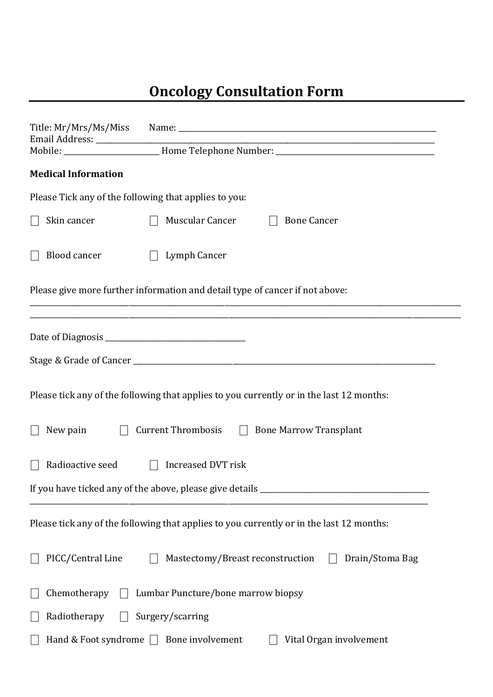## **Oncology Consultation Form**

|                                                                                          | <u> 1980 - Johann Barn, mars ann an t-Amhraid ann an t-Amhraid ann an t-Amhraid ann an t-Amhraid ann an t-Amhraid ann an t-Amhraid ann an t-Amhraid ann an t-Amhraid ann an t-Amhraid ann an t-Amhraid ann an t-Amhraid ann an t</u> |
|------------------------------------------------------------------------------------------|--------------------------------------------------------------------------------------------------------------------------------------------------------------------------------------------------------------------------------------|
|                                                                                          |                                                                                                                                                                                                                                      |
| <b>Medical Information</b>                                                               |                                                                                                                                                                                                                                      |
| Please Tick any of the following that applies to you:                                    |                                                                                                                                                                                                                                      |
| Skin cancer                                                                              | Muscular Cancer<br><b>Bone Cancer</b>                                                                                                                                                                                                |
| <b>Blood cancer</b>                                                                      | Lymph Cancer<br>$\Box$                                                                                                                                                                                                               |
| Please give more further information and detail type of cancer if not above:             |                                                                                                                                                                                                                                      |
|                                                                                          |                                                                                                                                                                                                                                      |
|                                                                                          |                                                                                                                                                                                                                                      |
| Please tick any of the following that applies to you currently or in the last 12 months: |                                                                                                                                                                                                                                      |
| New pain<br>$\perp$                                                                      | Current Thrombosis □ Bone Marrow Transplant                                                                                                                                                                                          |
| Radioactive seed $\Box$                                                                  | Increased DVT risk                                                                                                                                                                                                                   |
| If you have ticked any of the above, please give details                                 |                                                                                                                                                                                                                                      |
| Please tick any of the following that applies to you currently or in the last 12 months: |                                                                                                                                                                                                                                      |
| PICC/Central Line                                                                        | Mastectomy/Breast reconstruction<br>Drain/Stoma Bag                                                                                                                                                                                  |
| Chemotherapy<br>Lumbar Puncture/bone marrow biopsy                                       |                                                                                                                                                                                                                                      |
| Radiotherapy                                                                             | Surgery/scarring                                                                                                                                                                                                                     |
| Hand & Foot syndrome $\Box$<br>Bone involvement<br>Vital Organ involvement               |                                                                                                                                                                                                                                      |